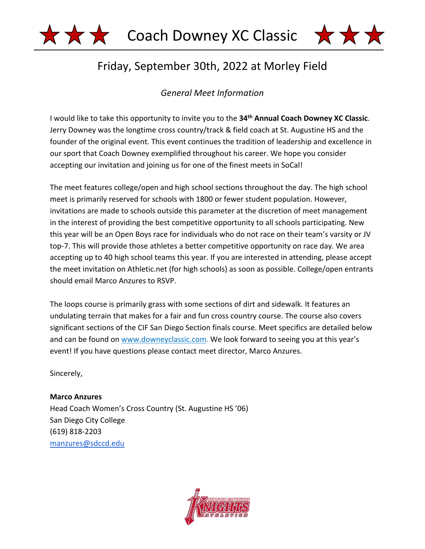



# Friday, September 30th, 2022 at Morley Field

# *General Meet Information*

I would like to take this opportunity to invite you to the **34th Annual Coach Downey XC Classic**. Jerry Downey was the longtime cross country/track & field coach at St. Augustine HS and the founder of the original event. This event continues the tradition of leadership and excellence in our sport that Coach Downey exemplified throughout his career. We hope you consider accepting our invitation and joining us for one of the finest meets in SoCal!

The meet features college/open and high school sections throughout the day. The high school meet is primarily reserved for schools with 1800 or fewer student population. However, invitations are made to schools outside this parameter at the discretion of meet management in the interest of providing the best competitive opportunity to all schools participating. New this year will be an Open Boys race for individuals who do not race on their team's varsity or JV top-7. This will provide those athletes a better competitive opportunity on race day. We area accepting up to 40 high school teams this year. If you are interested in attending, please accept the meet invitation on Athletic.net (for high schools) as soon as possible. College/open entrants should email Marco Anzures to RSVP.

The loops course is primarily grass with some sections of dirt and sidewalk. It features an undulating terrain that makes for a fair and fun cross country course. The course also covers significant sections of the CIF San Diego Section finals course. Meet specifics are detailed below and can be found on www.downeyclassic.com. We look forward to seeing you at this year's event! If you have questions please contact meet director, Marco Anzures.

Sincerely,

**Marco Anzures**  Head Coach Women's Cross Country (St. Augustine HS '06) San Diego City College (619) 818-2203 manzures@sdccd.edu

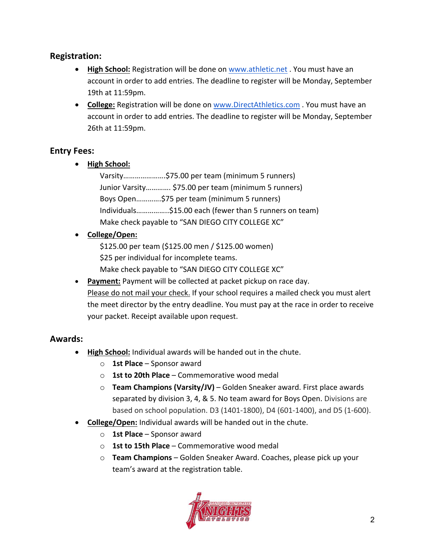#### **Registration:**

- **High School:** Registration will be done on www.athletic.net . You must have an account in order to add entries. The deadline to register will be Monday, September 19th at 11:59pm.
- **College:** Registration will be done on www.DirectAthletics.com . You must have an account in order to add entries. The deadline to register will be Monday, September 26th at 11:59pm.

#### **Entry Fees:**

• **High School:**

Varsity………………….\$75.00 per team (minimum 5 runners) Junior Varsity…………. \$75.00 per team (minimum 5 runners) Boys Open………….\$75 per team (minimum 5 runners) Individuals……………..\$15.00 each (fewer than 5 runners on team) Make check payable to "SAN DIEGO CITY COLLEGE XC"

#### • **College/Open:**

\$125.00 per team (\$125.00 men / \$125.00 women) \$25 per individual for incomplete teams.

- Make check payable to "SAN DIEGO CITY COLLEGE XC"
- **Payment:** Payment will be collected at packet pickup on race day. Please do not mail your check. If your school requires a mailed check you must alert the meet director by the entry deadline. You must pay at the race in order to receive your packet. Receipt available upon request.

#### **Awards:**

- **High School:** Individual awards will be handed out in the chute.
	- o **1st Place** Sponsor award
	- o **1st to 20th Place** Commemorative wood medal
	- o **Team Champions (Varsity/JV)** Golden Sneaker award. First place awards separated by division 3, 4, & 5. No team award for Boys Open. Divisions are based on school population. D3 (1401-1800), D4 (601-1400), and D5 (1-600).
- **College/Open:** Individual awards will be handed out in the chute.
	- o **1st Place** Sponsor award
	- o **1st to 15th Place** Commemorative wood medal
	- o **Team Champions** Golden Sneaker Award. Coaches, please pick up your team's award at the registration table.

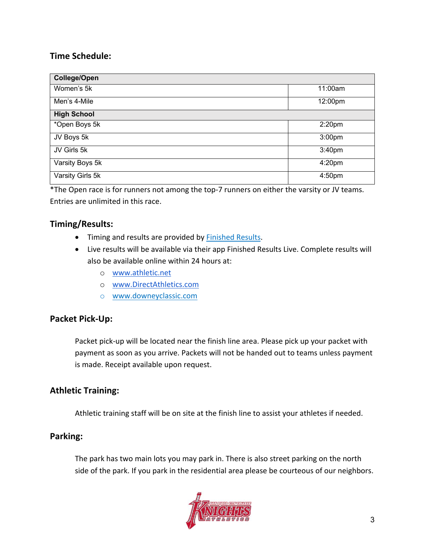### **Time Schedule:**

| <b>College/Open</b> |                    |
|---------------------|--------------------|
| Women's 5k          | 11:00am            |
| Men's 4-Mile        | 12:00pm            |
| <b>High School</b>  |                    |
|                     |                    |
| *Open Boys 5k       | 2:20 <sub>pm</sub> |
| JV Boys 5k          | 3:00pm             |
| JV Girls 5k         | 3:40pm             |
| Varsity Boys 5k     | 4:20pm             |
| Varsity Girls 5k    | 4:50pm             |

\*The Open race is for runners not among the top-7 runners on either the varsity or JV teams. Entries are unlimited in this race.

#### **Timing/Results:**

- Timing and results are provided by Finished Results.
- Live results will be available via their app Finished Results Live. Complete results will also be available online within 24 hours at:
	- o www.athletic.net
	- o www.DirectAthletics.com
	- o www.downeyclassic.com

#### **Packet Pick-Up:**

Packet pick-up will be located near the finish line area. Please pick up your packet with payment as soon as you arrive. Packets will not be handed out to teams unless payment is made. Receipt available upon request.

#### **Athletic Training:**

Athletic training staff will be on site at the finish line to assist your athletes if needed.

#### **Parking:**

The park has two main lots you may park in. There is also street parking on the north side of the park. If you park in the residential area please be courteous of our neighbors.